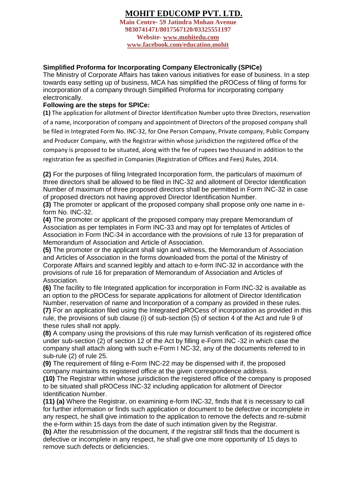## **MOHIT EDUCOMP PVT. LTD.**

**Main Centre- 59 Jatindra Mohan Avenue 9830741471/8017567120/03325551197 Website- [www.mohitedu.com](http://www.mohitedu.com/) [www.facebook.com/education.mohit](http://www.facebook.com/education.mohit)**

## **Simplified Proforma for Incorporating Company Electronically (SPICe)**

The Ministry of Corporate Affairs has taken various initiatives for ease of business. In a step towards easy setting up of business, MCA has simplified the pROCess of filing of forms for incorporation of a company through Simplified Proforma for incorporating company electronically.

## **Following are the steps for SPICe:**

**(1)** The application for allotment of Director Identification Number upto three Directors, reservation of a name, incorporation of company and appointment of Directors of the proposed company shall be filed in Integrated Form No. INC-32, for One Person Company, Private company, Public Company and Producer Company, with the Registrar within whose jurisdiction the registered office of the company is proposed to be situated, along with the fee of rupees two thousand in addition to the registration fee as specified in Companies (Registration of Offices and Fees) Rules, 2014.

**(2)** For the purposes of filing Integrated Incorporation form, the particulars of maximum of three directors shall be allowed to be filed in INC-32 and allotment of Director Identification Number of maximum of three proposed directors shall be permitted in Form INC-32 in case of proposed directors not having approved Director Identification Number.

**(3)** The promoter or applicant of the proposed company shall propose only one name in eform No. INC-32.

**(4)** The promoter or applicant of the proposed company may prepare Memorandum of Association as per templates in Form INC-33 and may opt for templates of Articles of Association in Form INC-34 in accordance with the provisions of rule 13 for preparation of Memorandum of Association and Article of Association.

**(5)** The promoter or the applicant shall sign and witness, the Memorandum of Association and Articles of Association in the forms downloaded from the portal of the Ministry of Corporate Affairs and scanned legibly and attach to e-form INC-32 in accordance with the provisions of rule 16 for preparation of Memorandum of Association and Articles of Association.

**(6)** The facility to file Integrated application for incorporation in Form INC-32 is available as an option to the pROCess for separate applications for allotment of Director Identification Number, reservation of name and Incorporation of a company as provided in these rules. **(7)** For an application filed using the Integrated pROCess of incorporation as provided in this rule, the provisions of sub clause (i) of sub-section (5) of section 4 of the Act and rule 9 of these rules shall not apply.

**(8)** A company using the provisions of this rule may furnish verification of its registered office under sub-section (2) of section 12 of the Act by filling e-Form INC -32 in which case the company shall attach along with such e-Form I NC-32, any of the documents referred to in sub-rule (2) of rule 25.

**(9)** The requirement of filing e-Form INC-22 may be dispensed with if, the proposed company maintains its registered office at the given correspondence address.

**(10)** The Registrar within whose jurisdiction the registered office of the company is proposed to be situated shall pROCess INC-32 including application for allotment of Director Identification Number.

**(11) (a)** Where the Registrar, on examining e-form INC-32, finds that it is necessary to call for further information or finds such application or document to be defective or incomplete in any respect, he shall give intimation to the application to remove the defects and re-submit the e-form within 15 days from the date of such intimation given by the Registrar.

**(b)** After the resubmission of the document, if the registrar still finds that the document is defective or incomplete in any respect, he shall give one more opportunity of 15 days to remove such defects or deficiencies.